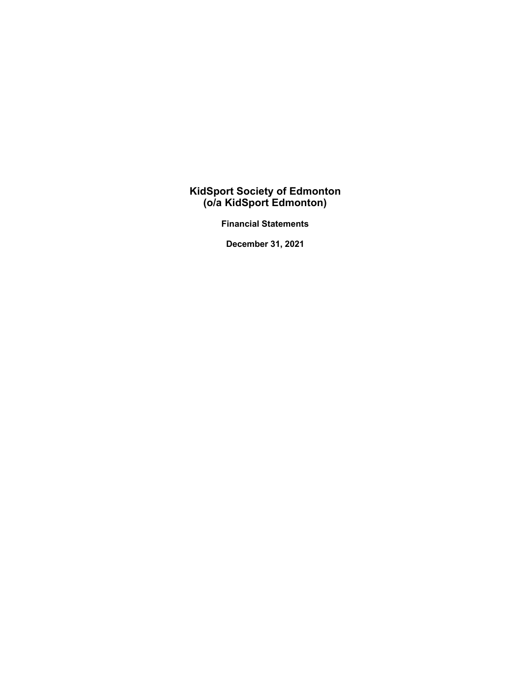**Financial Statements**

**December 31, 2021**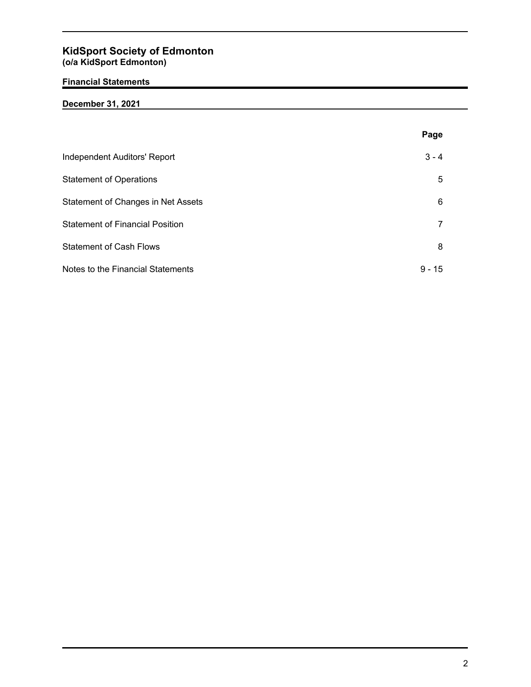# **Financial Statements**

# **December 31, 2021**

|                                        | Page     |
|----------------------------------------|----------|
| Independent Auditors' Report           | $3 - 4$  |
| <b>Statement of Operations</b>         | 5        |
| Statement of Changes in Net Assets     | 6        |
| <b>Statement of Financial Position</b> |          |
| <b>Statement of Cash Flows</b>         | 8        |
| Notes to the Financial Statements      | $9 - 15$ |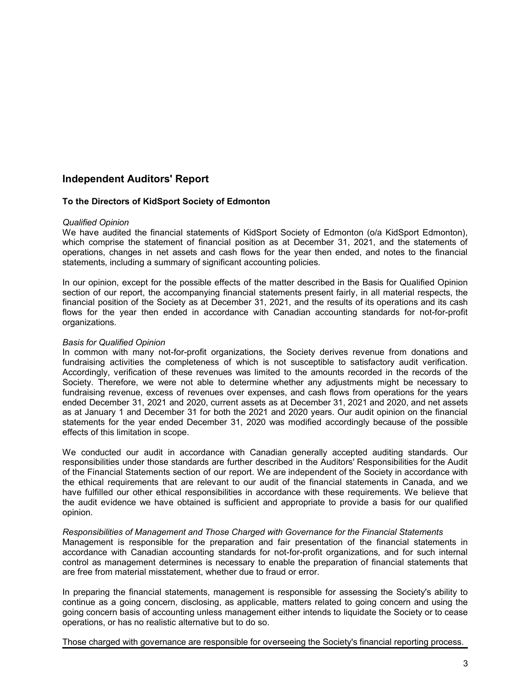# **Independent Auditors' Report**

### **To the Directors of KidSport Society of Edmonton**

#### *Qualified Opinion*

We have audited the financial statements of KidSport Society of Edmonton (o/a KidSport Edmonton), which comprise the statement of financial position as at December 31, 2021, and the statements of operations, changes in net assets and cash flows for the year then ended, and notes to the financial statements, including a summary of significant accounting policies.

In our opinion, except for the possible effects of the matter described in the Basis for Qualified Opinion section of our report, the accompanying financial statements present fairly, in all material respects, the financial position of the Society as at December 31, 2021, and the results of its operations and its cash flows for the year then ended in accordance with Canadian accounting standards for not-for-profit organizations.

### *Basis for Qualified Opinion*

In common with many not-for-profit organizations, the Society derives revenue from donations and fundraising activities the completeness of which is not susceptible to satisfactory audit verification. Accordingly, verification of these revenues was limited to the amounts recorded in the records of the Society. Therefore, we were not able to determine whether any adjustments might be necessary to fundraising revenue, excess of revenues over expenses, and cash flows from operations for the years ended December 31, 2021 and 2020, current assets as at December 31, 2021 and 2020, and net assets as at January 1 and December 31 for both the 2021 and 2020 years. Our audit opinion on the financial statements for the year ended December 31, 2020 was modified accordingly because of the possible effects of this limitation in scope.

We conducted our audit in accordance with Canadian generally accepted auditing standards. Our responsibilities under those standards are further described in the Auditors' Responsibilities for the Audit of the Financial Statements section of our report. We are independent of the Society in accordance with the ethical requirements that are relevant to our audit of the financial statements in Canada, and we have fulfilled our other ethical responsibilities in accordance with these requirements. We believe that the audit evidence we have obtained is sufficient and appropriate to provide a basis for our qualified opinion.

### *Responsibilities of Management and Those Charged with Governance for the Financial Statements*

Management is responsible for the preparation and fair presentation of the financial statements in accordance with Canadian accounting standards for not-for-profit organizations, and for such internal control as management determines is necessary to enable the preparation of financial statements that are free from material misstatement, whether due to fraud or error.

In preparing the financial statements, management is responsible for assessing the Society's ability to continue as a going concern, disclosing, as applicable, matters related to going concern and using the going concern basis of accounting unless management either intends to liquidate the Society or to cease operations, or has no realistic alternative but to do so.

Those charged with governance are responsible for overseeing the Society's financial reporting process.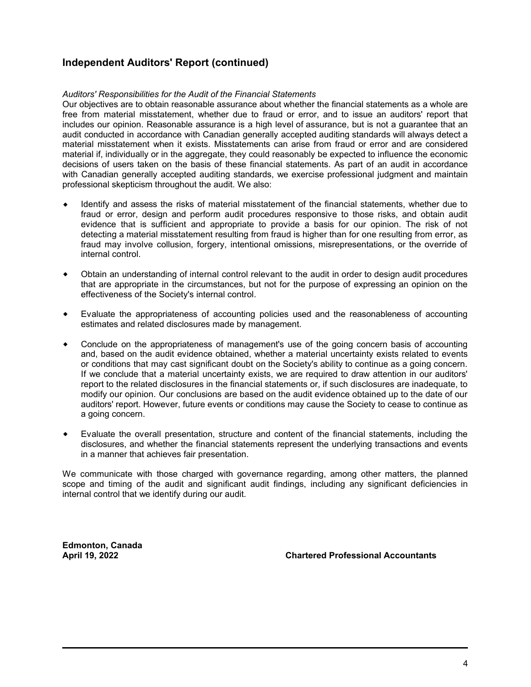# **Independent Auditors' Report (continued)**

### *Auditors' Responsibilities for the Audit of the Financial Statements*

Our objectives are to obtain reasonable assurance about whether the financial statements as a whole are free from material misstatement, whether due to fraud or error, and to issue an auditors' report that includes our opinion. Reasonable assurance is a high level of assurance, but is not a guarantee that an audit conducted in accordance with Canadian generally accepted auditing standards will always detect a material misstatement when it exists. Misstatements can arise from fraud or error and are considered material if, individually or in the aggregate, they could reasonably be expected to influence the economic decisions of users taken on the basis of these financial statements. As part of an audit in accordance with Canadian generally accepted auditing standards, we exercise professional judgment and maintain professional skepticism throughout the audit. We also:

- Identify and assess the risks of material misstatement of the financial statements, whether due to fraud or error, design and perform audit procedures responsive to those risks, and obtain audit evidence that is sufficient and appropriate to provide a basis for our opinion. The risk of not detecting a material misstatement resulting from fraud is higher than for one resulting from error, as fraud may involve collusion, forgery, intentional omissions, misrepresentations, or the override of internal control.
- Obtain an understanding of internal control relevant to the audit in order to design audit procedures that are appropriate in the circumstances, but not for the purpose of expressing an opinion on the effectiveness of the Society's internal control.
- Evaluate the appropriateness of accounting policies used and the reasonableness of accounting estimates and related disclosures made by management.
- Conclude on the appropriateness of management's use of the going concern basis of accounting and, based on the audit evidence obtained, whether a material uncertainty exists related to events or conditions that may cast significant doubt on the Society's ability to continue as a going concern. If we conclude that a material uncertainty exists, we are required to draw attention in our auditors' report to the related disclosures in the financial statements or, if such disclosures are inadequate, to modify our opinion. Our conclusions are based on the audit evidence obtained up to the date of our auditors' report. However, future events or conditions may cause the Society to cease to continue as a going concern.
- Evaluate the overall presentation, structure and content of the financial statements, including the disclosures, and whether the financial statements represent the underlying transactions and events in a manner that achieves fair presentation.

We communicate with those charged with governance regarding, among other matters, the planned scope and timing of the audit and significant audit findings, including any significant deficiencies in internal control that we identify during our audit.

**Edmonton, Canada**

**April 19, 2022 Chartered Professional Accountants**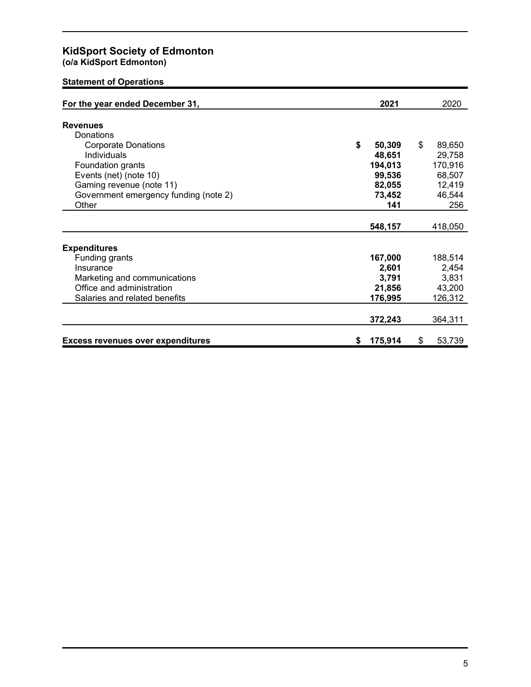# **Statement of Operations**

| For the year ended December 31,          |    | 2021    | 2020         |
|------------------------------------------|----|---------|--------------|
| <b>Revenues</b>                          |    |         |              |
| Donations                                |    |         |              |
| <b>Corporate Donations</b>               | \$ | 50,309  | \$<br>89,650 |
| Individuals                              |    | 48,651  | 29,758       |
| Foundation grants                        |    | 194,013 | 170,916      |
| Events (net) (note 10)                   |    | 99,536  | 68,507       |
| Gaming revenue (note 11)                 |    | 82,055  | 12,419       |
| Government emergency funding (note 2)    |    | 73,452  | 46,544       |
| Other                                    |    | 141     | 256          |
|                                          |    |         |              |
|                                          |    | 548,157 | 418,050      |
| <b>Expenditures</b>                      |    |         |              |
| Funding grants                           |    | 167,000 | 188,514      |
| Insurance                                |    | 2,601   | 2,454        |
| Marketing and communications             |    | 3,791   | 3,831        |
| Office and administration                |    | 21,856  | 43,200       |
| Salaries and related benefits            |    | 176,995 | 126,312      |
|                                          |    |         |              |
|                                          |    | 372,243 | 364,311      |
| <b>Excess revenues over expenditures</b> | S  | 175,914 | \$<br>53,739 |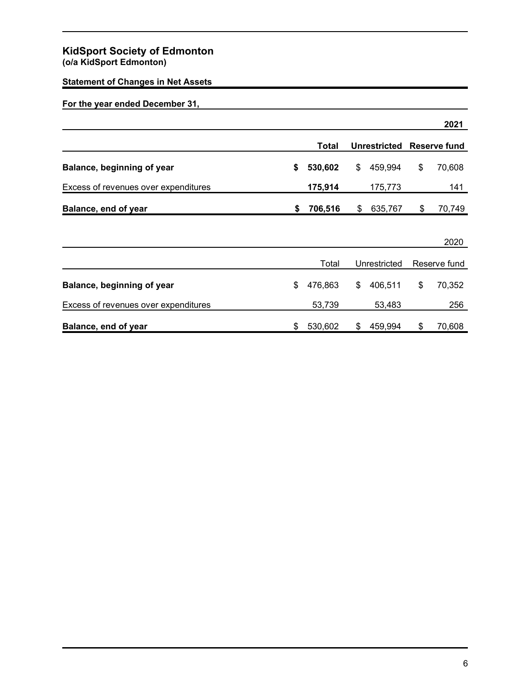# **Statement of Changes in Net Assets**

# **For the year ended December 31,**

|                                      |               |                           | 2021         |
|--------------------------------------|---------------|---------------------------|--------------|
|                                      | Total         | Unrestricted Reserve fund |              |
| Balance, beginning of year           | \$<br>530,602 | \$<br>459,994             | \$<br>70,608 |
| Excess of revenues over expenditures | 175,914       | 175,773                   | 141          |
| Balance, end of year                 | \$<br>706,516 | \$<br>635,767             | \$<br>70,749 |
|                                      |               |                           |              |
|                                      |               |                           | 2020         |
|                                      | Total         | Unrestricted              | Reserve fund |
| Balance, beginning of year           | \$<br>476,863 | \$<br>406,511             | \$<br>70,352 |
| Excess of revenues over expenditures | 53,739        | 53,483                    | 256          |
| Balance, end of year                 | \$<br>530,602 | \$<br>459,994             | \$<br>70,608 |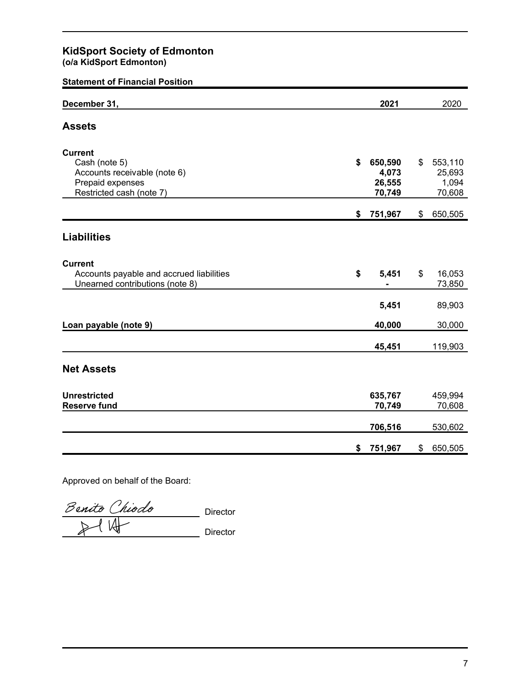# **Statement of Financial Position**

| December 31,                                                                                                    | 2021                                       | 2020                                       |
|-----------------------------------------------------------------------------------------------------------------|--------------------------------------------|--------------------------------------------|
| <b>Assets</b>                                                                                                   |                                            |                                            |
| <b>Current</b><br>Cash (note 5)<br>Accounts receivable (note 6)<br>Prepaid expenses<br>Restricted cash (note 7) | \$<br>650,590<br>4,073<br>26,555<br>70,749 | \$<br>553,110<br>25,693<br>1,094<br>70,608 |
|                                                                                                                 | \$<br>751,967                              | \$<br>650,505                              |
| <b>Liabilities</b>                                                                                              |                                            |                                            |
| <b>Current</b><br>Accounts payable and accrued liabilities<br>Unearned contributions (note 8)                   | \$<br>5,451                                | \$<br>16,053<br>73,850                     |
|                                                                                                                 | 5,451                                      | 89,903                                     |
| Loan payable (note 9)                                                                                           | 40,000                                     | 30,000                                     |
|                                                                                                                 | 45,451                                     | 119,903                                    |
| <b>Net Assets</b>                                                                                               |                                            |                                            |
| <b>Unrestricted</b><br><b>Reserve fund</b>                                                                      | 635,767<br>70,749                          | 459,994<br>70,608                          |
|                                                                                                                 | 706,516                                    | 530,602                                    |
|                                                                                                                 | \$<br>751,967                              | \$<br>650,505                              |

Approved on behalf of the Board:

Benito Chiodo Director KH Director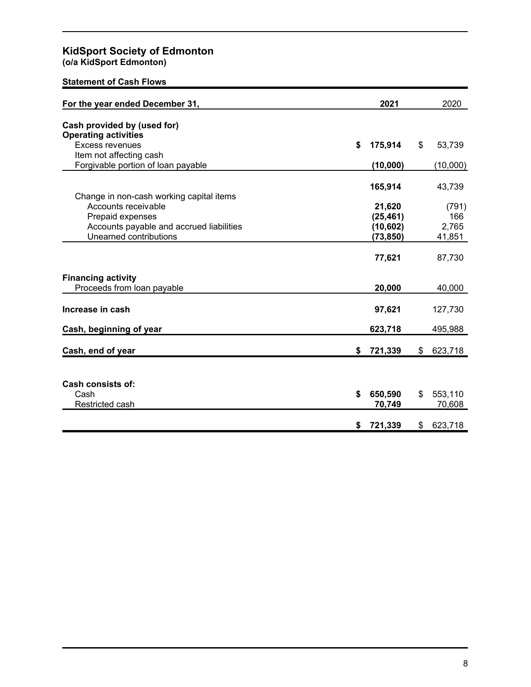# **Statement of Cash Flows**

| For the year ended December 31,                            |    | 2021      | 2020          |
|------------------------------------------------------------|----|-----------|---------------|
| Cash provided by (used for)<br><b>Operating activities</b> |    |           |               |
| <b>Excess revenues</b>                                     | \$ | 175,914   | \$<br>53,739  |
| Item not affecting cash                                    |    |           |               |
| Forgivable portion of loan payable                         |    | (10,000)  | (10,000)      |
|                                                            |    |           |               |
|                                                            |    | 165,914   | 43,739        |
| Change in non-cash working capital items                   |    |           |               |
| Accounts receivable                                        |    | 21,620    | (791)         |
| Prepaid expenses                                           |    | (25, 461) | 166           |
| Accounts payable and accrued liabilities                   |    | (10, 602) | 2,765         |
| Unearned contributions                                     |    | (73, 850) | 41,851        |
|                                                            |    | 77,621    | 87,730        |
|                                                            |    |           |               |
| <b>Financing activity</b><br>Proceeds from loan payable    |    | 20,000    |               |
|                                                            |    |           | 40,000        |
| Increase in cash                                           |    | 97,621    | 127,730       |
| Cash, beginning of year                                    |    | 623,718   | 495,988       |
| Cash, end of year                                          | \$ | 721,339   | \$<br>623,718 |
|                                                            |    |           |               |
| Cash consists of:                                          |    |           |               |
| Cash                                                       | \$ | 650,590   | \$<br>553,110 |
| Restricted cash                                            |    | 70,749    | 70,608        |
|                                                            | S. | 721,339   | \$623,718     |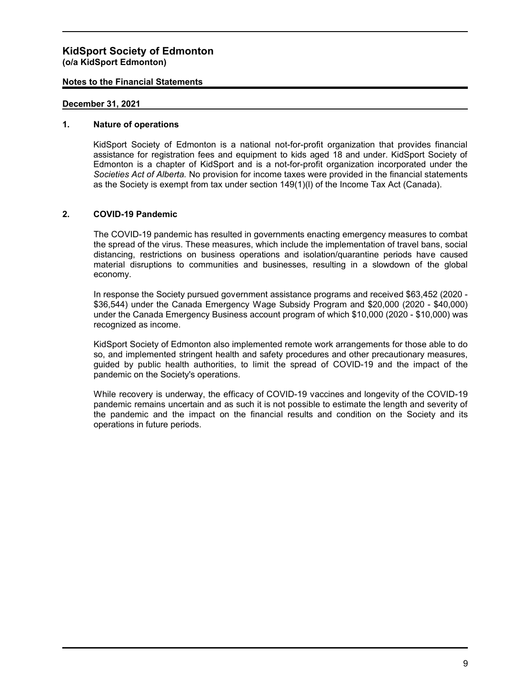### **Notes to the Financial Statements**

#### **December 31, 2021**

### **1. Nature of operations**

KidSport Society of Edmonton is a national not-for-profit organization that provides financial assistance for registration fees and equipment to kids aged 18 and under. KidSport Society of Edmonton is a chapter of KidSport and is a not-for-profit organization incorporated under the *Societies Act of Alberta.* No provision for income taxes were provided in the financial statements as the Society is exempt from tax under section 149(1)(l) of the Income Tax Act (Canada).

### **2. COVID-19 Pandemic**

The COVID-19 pandemic has resulted in governments enacting emergency measures to combat the spread of the virus. These measures, which include the implementation of travel bans, social distancing, restrictions on business operations and isolation/quarantine periods have caused material disruptions to communities and businesses, resulting in a slowdown of the global economy.

In response the Society pursued government assistance programs and received \$63,452 (2020 - \$36,544) under the Canada Emergency Wage Subsidy Program and \$20,000 (2020 - \$40,000) under the Canada Emergency Business account program of which \$10,000 (2020 - \$10,000) was recognized as income.

KidSport Society of Edmonton also implemented remote work arrangements for those able to do so, and implemented stringent health and safety procedures and other precautionary measures, guided by public health authorities, to limit the spread of COVID-19 and the impact of the pandemic on the Society's operations.

While recovery is underway, the efficacy of COVID-19 vaccines and longevity of the COVID-19 pandemic remains uncertain and as such it is not possible to estimate the length and severity of the pandemic and the impact on the financial results and condition on the Society and its operations in future periods.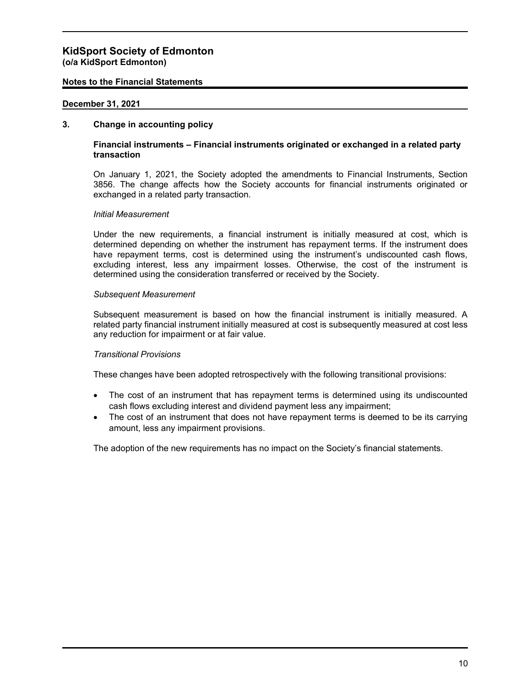### **Notes to the Financial Statements**

# **December 31, 2021**

## **3. Change in accounting policy**

#### **Financial instruments – Financial instruments originated or exchanged in a related party transaction**

On January 1, 2021, the Society adopted the amendments to Financial Instruments, Section 3856. The change affects how the Society accounts for financial instruments originated or exchanged in a related party transaction.

### *Initial Measurement*

Under the new requirements, a financial instrument is initially measured at cost, which is determined depending on whether the instrument has repayment terms. If the instrument does have repayment terms, cost is determined using the instrument's undiscounted cash flows, excluding interest, less any impairment losses. Otherwise, the cost of the instrument is determined using the consideration transferred or received by the Society.

#### *Subsequent Measurement*

Subsequent measurement is based on how the financial instrument is initially measured. A related party financial instrument initially measured at cost is subsequently measured at cost less any reduction for impairment or at fair value.

### *Transitional Provisions*

These changes have been adopted retrospectively with the following transitional provisions:

- The cost of an instrument that has repayment terms is determined using its undiscounted cash flows excluding interest and dividend payment less any impairment;
- The cost of an instrument that does not have repayment terms is deemed to be its carrying amount, less any impairment provisions.

The adoption of the new requirements has no impact on the Society's financial statements.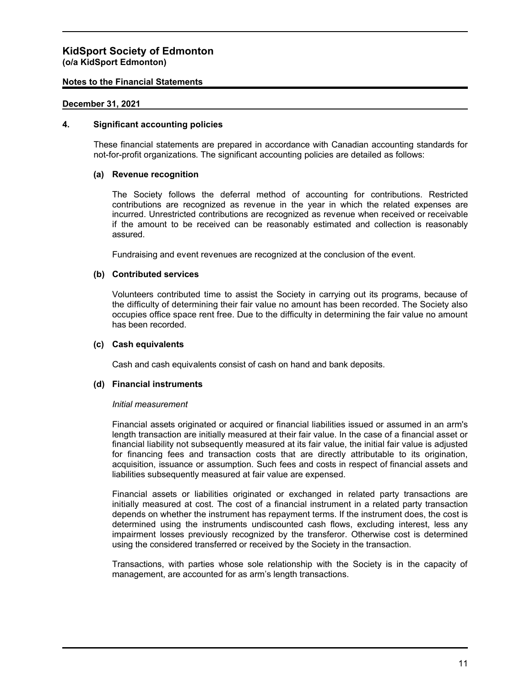### **Notes to the Financial Statements**

#### **December 31, 2021**

#### **4. Significant accounting policies**

These financial statements are prepared in accordance with Canadian accounting standards for not-for-profit organizations. The significant accounting policies are detailed as follows:

#### **(a) Revenue recognition**

The Society follows the deferral method of accounting for contributions. Restricted contributions are recognized as revenue in the year in which the related expenses are incurred. Unrestricted contributions are recognized as revenue when received or receivable if the amount to be received can be reasonably estimated and collection is reasonably assured.

Fundraising and event revenues are recognized at the conclusion of the event.

#### **(b) Contributed services**

Volunteers contributed time to assist the Society in carrying out its programs, because of the difficulty of determining their fair value no amount has been recorded. The Society also occupies office space rent free. Due to the difficulty in determining the fair value no amount has been recorded.

#### **(c) Cash equivalents**

Cash and cash equivalents consist of cash on hand and bank deposits.

#### **(d) Financial instruments**

#### *Initial measurement*

Financial assets originated or acquired or financial liabilities issued or assumed in an arm's length transaction are initially measured at their fair value. In the case of a financial asset or financial liability not subsequently measured at its fair value, the initial fair value is adjusted for financing fees and transaction costs that are directly attributable to its origination, acquisition, issuance or assumption. Such fees and costs in respect of financial assets and liabilities subsequently measured at fair value are expensed.

Financial assets or liabilities originated or exchanged in related party transactions are initially measured at cost. The cost of a financial instrument in a related party transaction depends on whether the instrument has repayment terms. If the instrument does, the cost is determined using the instruments undiscounted cash flows, excluding interest, less any impairment losses previously recognized by the transferor. Otherwise cost is determined using the considered transferred or received by the Society in the transaction.

Transactions, with parties whose sole relationship with the Society is in the capacity of management, are accounted for as arm's length transactions.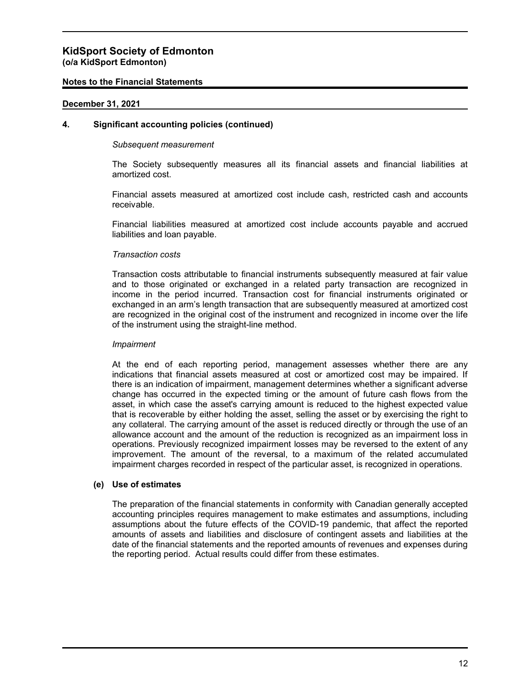### **Notes to the Financial Statements**

#### **December 31, 2021**

### **4. Significant accounting policies (continued)**

#### *Subsequent measurement*

The Society subsequently measures all its financial assets and financial liabilities at amortized cost.

Financial assets measured at amortized cost include cash, restricted cash and accounts receivable.

Financial liabilities measured at amortized cost include accounts payable and accrued liabilities and loan payable.

#### *Transaction costs*

Transaction costs attributable to financial instruments subsequently measured at fair value and to those originated or exchanged in a related party transaction are recognized in income in the period incurred. Transaction cost for financial instruments originated or exchanged in an arm's length transaction that are subsequently measured at amortized cost are recognized in the original cost of the instrument and recognized in income over the life of the instrument using the straight-line method.

#### *Impairment*

At the end of each reporting period, management assesses whether there are any indications that financial assets measured at cost or amortized cost may be impaired. If there is an indication of impairment, management determines whether a significant adverse change has occurred in the expected timing or the amount of future cash flows from the asset, in which case the asset's carrying amount is reduced to the highest expected value that is recoverable by either holding the asset, selling the asset or by exercising the right to any collateral. The carrying amount of the asset is reduced directly or through the use of an allowance account and the amount of the reduction is recognized as an impairment loss in operations. Previously recognized impairment losses may be reversed to the extent of any improvement. The amount of the reversal, to a maximum of the related accumulated impairment charges recorded in respect of the particular asset, is recognized in operations.

## **(e) Use of estimates**

The preparation of the financial statements in conformity with Canadian generally accepted accounting principles requires management to make estimates and assumptions, including assumptions about the future effects of the COVID-19 pandemic, that affect the reported amounts of assets and liabilities and disclosure of contingent assets and liabilities at the date of the financial statements and the reported amounts of revenues and expenses during the reporting period. Actual results could differ from these estimates.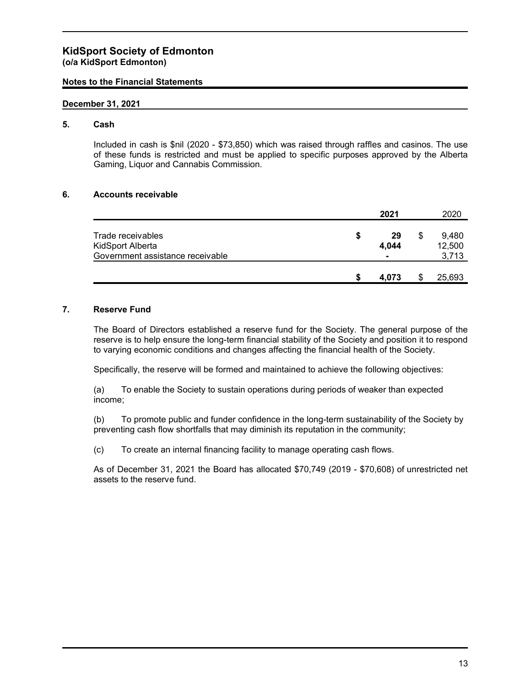### **Notes to the Financial Statements**

### **December 31, 2021**

## **5. Cash**

Included in cash is \$nil (2020 - \$73,850) which was raised through raffles and casinos. The use of these funds is restricted and must be applied to specific purposes approved by the Alberta Gaming, Liquor and Cannabis Commission.

### **6. Accounts receivable**

|                                                                           |   | 2021        | 2020                     |
|---------------------------------------------------------------------------|---|-------------|--------------------------|
| Trade receivables<br>KidSport Alberta<br>Government assistance receivable | S | 29<br>4,044 | 9,480<br>12,500<br>3,713 |
|                                                                           |   | 4.073       | 25,693                   |

## **7. Reserve Fund**

The Board of Directors established a reserve fund for the Society. The general purpose of the reserve is to help ensure the long-term financial stability of the Society and position it to respond to varying economic conditions and changes affecting the financial health of the Society.

Specifically, the reserve will be formed and maintained to achieve the following objectives:

(a) To enable the Society to sustain operations during periods of weaker than expected income;

(b) To promote public and funder confidence in the long-term sustainability of the Society by preventing cash flow shortfalls that may diminish its reputation in the community;

(c) To create an internal financing facility to manage operating cash flows.

As of December 31, 2021 the Board has allocated \$70,749 (2019 - \$70,608) of unrestricted net assets to the reserve fund.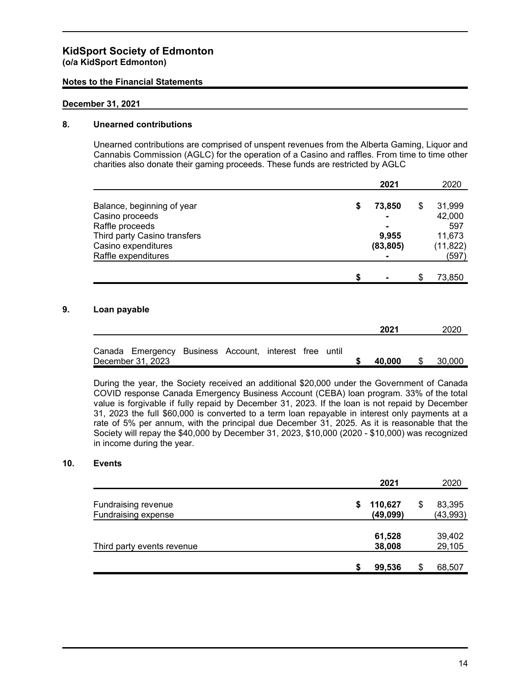### **Notes to the Financial Statements**

#### **December 31, 2021**

## **8. Unearned contributions**

Unearned contributions are comprised of unspent revenues from the Alberta Gaming, Liquor and Cannabis Commission (AGLC) for the operation of a Casino and raffles. From time to time other charities also donate their gaming proceeds. These funds are restricted by AGLC

|                              |   | 2021      |   | 2020      |
|------------------------------|---|-----------|---|-----------|
|                              |   |           |   |           |
| Balance, beginning of year   | 5 | 73,850    | S | 31,999    |
| Casino proceeds              |   |           |   | 42,000    |
| Raffle proceeds              |   |           |   | 597       |
| Third party Casino transfers |   | 9,955     |   | 11,673    |
| Casino expenditures          |   | (83, 805) |   | (11, 822) |
| Raffle expenditures          |   |           |   | (597)     |
|                              |   |           |   |           |
|                              |   |           |   | 73,850    |

## **9. Loan payable**

|                                                                             |  |  |  | 2021   |     | 2020   |
|-----------------------------------------------------------------------------|--|--|--|--------|-----|--------|
| Canada Emergency Business Account, interest free until<br>December 31, 2023 |  |  |  | 40.000 | SS. | 30,000 |

During the year, the Society received an additional \$20,000 under the Government of Canada COVID response Canada Emergency Business Account (CEBA) loan program. 33% of the total value is forgivable if fully repaid by December 31, 2023. If the loan is not repaid by December 31, 2023 the full \$60,000 is converted to a term loan repayable in interest only payments at a rate of 5% per annum, with the principal due December 31, 2025. As it is reasonable that the Society will repay the \$40,000 by December 31, 2023, \$10,000 (2020 - \$10,000) was recognized in income during the year.

### **10. Events**

|                                            |    | 2021                 |   | 2020               |
|--------------------------------------------|----|----------------------|---|--------------------|
| Fundraising revenue<br>Fundraising expense | S. | 110,627<br>(49, 099) | S | 83,395<br>(43,993) |
| Third party events revenue                 |    | 61,528<br>38,008     |   | 39,402<br>29,105   |
|                                            |    | 99,536               |   | 68,507             |